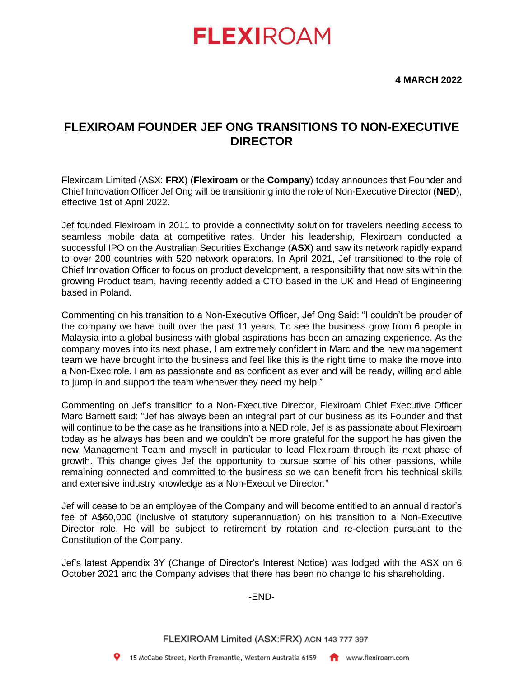# **FLEXIROAM**

**4 MARCH 2022**

## **FLEXIROAM FOUNDER JEF ONG TRANSITIONS TO NON-EXECUTIVE DIRECTOR**

Flexiroam Limited (ASX: **FRX**) (**Flexiroam** or the **Company**) today announces that Founder and Chief Innovation Officer Jef Ong will be transitioning into the role of Non-Executive Director (**NED**), effective 1st of April 2022.

Jef founded Flexiroam in 2011 to provide a connectivity solution for travelers needing access to seamless mobile data at competitive rates. Under his leadership, Flexiroam conducted a successful IPO on the Australian Securities Exchange (**ASX**) and saw its network rapidly expand to over 200 countries with 520 network operators. In April 2021, Jef transitioned to the role of Chief Innovation Officer to focus on product development, a responsibility that now sits within the growing Product team, having recently added a CTO based in the UK and Head of Engineering based in Poland.

Commenting on his transition to a Non-Executive Officer, Jef Ong Said: "I couldn't be prouder of the company we have built over the past 11 years. To see the business grow from 6 people in Malaysia into a global business with global aspirations has been an amazing experience. As the company moves into its next phase, I am extremely confident in Marc and the new management team we have brought into the business and feel like this is the right time to make the move into a Non-Exec role. I am as passionate and as confident as ever and will be ready, willing and able to jump in and support the team whenever they need my help."

Commenting on Jef's transition to a Non-Executive Director, Flexiroam Chief Executive Officer Marc Barnett said: "Jef has always been an integral part of our business as its Founder and that will continue to be the case as he transitions into a NED role. Jef is as passionate about Flexiroam today as he always has been and we couldn't be more grateful for the support he has given the new Management Team and myself in particular to lead Flexiroam through its next phase of growth. This change gives Jef the opportunity to pursue some of his other passions, while remaining connected and committed to the business so we can benefit from his technical skills and extensive industry knowledge as a Non-Executive Director."

Jef will cease to be an employee of the Company and will become entitled to an annual director's fee of A\$60,000 (inclusive of statutory superannuation) on his transition to a Non-Executive Director role. He will be subject to retirement by rotation and re-election pursuant to the Constitution of the Company.

Jef's latest Appendix 3Y (Change of Director's Interest Notice) was lodged with the ASX on 6 October 2021 and the Company advises that there has been no change to his shareholding.

### -END-

FLEXIROAM Limited (ASX:FRX) ACN 143 777 397